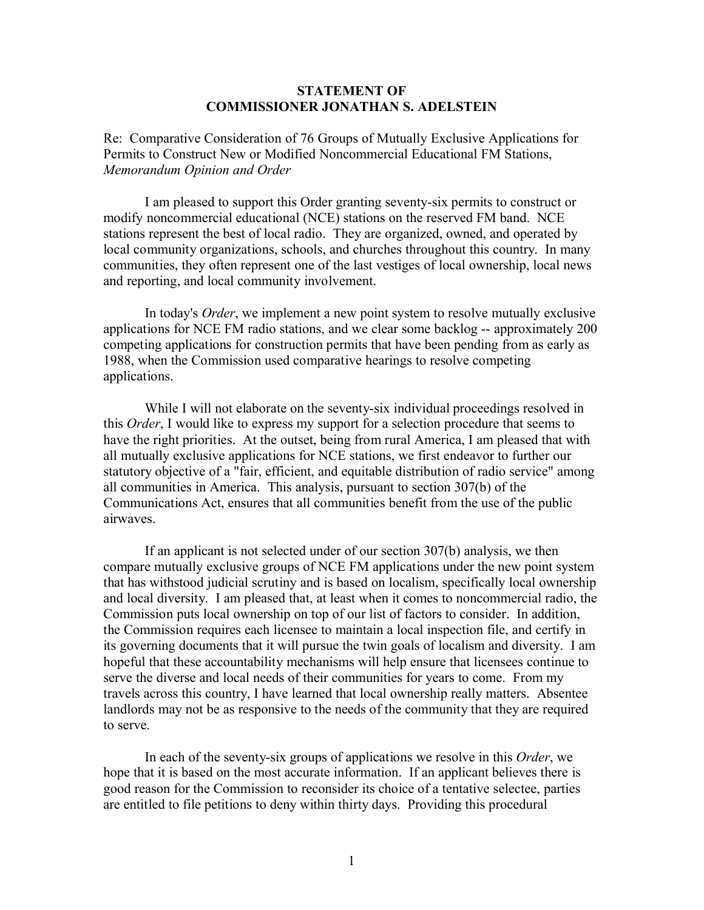## **STATEMENT OF COMMISSIONER JONATHAN S. ADELSTEIN**

Re: Comparative Consideration of 76 Groups of Mutually Exclusive Applications for Permits to Construct New or Modified Noncommercial Educational FM Stations, *Memorandum Opinion and Order*

I am pleased to support this Order granting seventy-six permits to construct or modify noncommercial educational (NCE) stations on the reserved FM band. NCE stations represent the best of local radio. They are organized, owned, and operated by local community organizations, schools, and churches throughout this country. In many communities, they often represent one of the last vestiges of local ownership, local news and reporting, and local community involvement.

In today's *Order*, we implement a new point system to resolve mutually exclusive applications for NCE FM radio stations, and we clear some backlog -- approximately 200 competing applications for construction permits that have been pending from as early as 1988, when the Commission used comparative hearings to resolve competing applications.

While I will not elaborate on the seventy-six individual proceedings resolved in this *Order*, I would like to express my support for a selection procedure that seems to have the right priorities. At the outset, being from rural America, I am pleased that with all mutually exclusive applications for NCE stations, we first endeavor to further our statutory objective of a "fair, efficient, and equitable distribution of radio service" among all communities in America. This analysis, pursuant to section 307(b) of the Communications Act, ensures that all communities benefit from the use of the public airwaves.

If an applicant is not selected under of our section 307(b) analysis, we then compare mutually exclusive groups of NCE FM applications under the new point system that has withstood judicial scrutiny and is based on localism, specifically local ownership and local diversity. I am pleased that, at least when it comes to noncommercial radio, the Commission puts local ownership on top of our list of factors to consider. In addition, the Commission requires each licensee to maintain a local inspection file, and certify in its governing documents that it will pursue the twin goals of localism and diversity. I am hopeful that these accountability mechanisms will help ensure that licensees continue to serve the diverse and local needs of their communities for years to come. From my travels across this country, I have learned that local ownership really matters. Absentee landlords may not be as responsive to the needs of the community that they are required to serve.

In each of the seventy-six groups of applications we resolve in this *Order*, we hope that it is based on the most accurate information. If an applicant believes there is good reason for the Commission to reconsider its choice of a tentative selectee, parties are entitled to file petitions to deny within thirty days. Providing this procedural